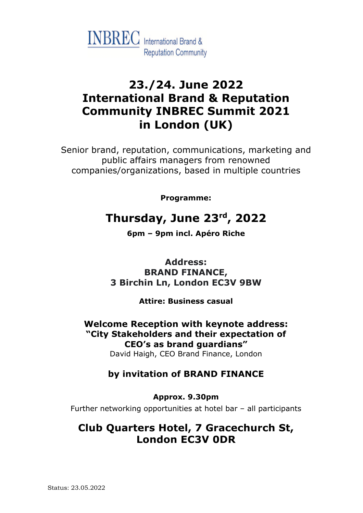

# **23./24. June 2022 International Brand & Reputation Community INBREC Summit 2021 in London (UK)**

Senior brand, reputation, communications, marketing and public affairs managers from renowned companies/organizations, based in multiple countries

**Programme:**

# **Thursday, June 23rd, 2022**

**6pm – 9pm incl. Apéro Riche**

**Address: BRAND FINANCE, 3 Birchin Ln, London EC3V 9BW**

**Attire: Business casual**

**Welcome Reception with keynote address: "City Stakeholders and their expectation of CEO's as brand guardians"**

David Haigh, CEO Brand Finance, London

### **by invitation of BRAND FINANCE**

**Approx. 9.30pm**

Further networking opportunities at hotel bar – all participants

## **Club Quarters Hotel, 7 Gracechurch St, London EC3V 0DR**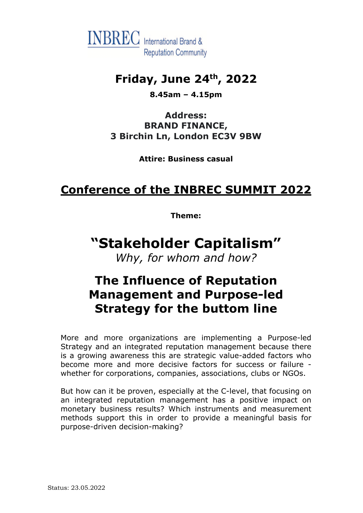

## **Friday, June 24th, 2022**

**8.45am – 4.15pm**

**Address: BRAND FINANCE, 3 Birchin Ln, London EC3V 9BW**

**Attire: Business casual**

## **Conference of the INBREC SUMMIT 2022**

**Theme:**

# **"Stakeholder Capitalism"**

*Why, for whom and how?* 

## **The Influence of Reputation Management and Purpose-led Strategy for the buttom line**

More and more organizations are implementing a Purpose-led Strategy and an integrated reputation management because there is a growing awareness this are strategic value-added factors who become more and more decisive factors for success or failure whether for corporations, companies, associations, clubs or NGOs.

But how can it be proven, especially at the C-level, that focusing on an integrated reputation management has a positive impact on monetary business results? Which instruments and measurement methods support this in order to provide a meaningful basis for purpose-driven decision-making?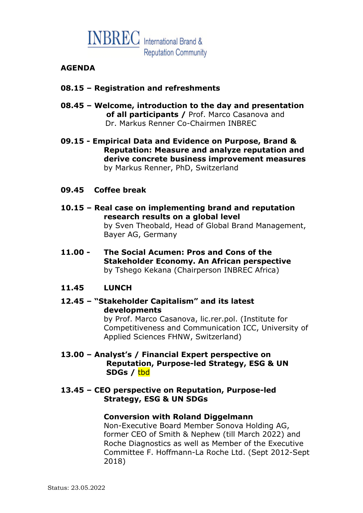

#### **AGENDA**

#### **08.15 – Registration and refreshments**

**08.45 – Welcome, introduction to the day and presentation of all participants /** Prof. Marco Casanova and Dr. Markus Renner Co-Chairmen INBREC

**09.15 - Empirical Data and Evidence on Purpose, Brand & Reputation: Measure and analyze reputation and derive concrete business improvement measures** by Markus Renner, PhD, Switzerland

#### **09.45 Coffee break**

- **10.15 – Real case on implementing brand and reputation research results on a global level** by Sven Theobald, Head of Global Brand Management, Bayer AG, Germany
- **11.00 - The Social Acumen: Pros and Cons of the Stakeholder Economy. An African perspective** by Tshego Kekana (Chairperson INBREC Africa)

#### **11.45 LUNCH**

#### **12.45 – "Stakeholder Capitalism" and its latest developments**

by Prof. Marco Casanova, lic.rer.pol. (Institute for Competitiveness and Communication ICC, University of Applied Sciences FHNW, Switzerland)

#### **13.00 – Analyst's / Financial Expert perspective on Reputation, Purpose-led Strategy, ESG & UN SDGs /** tbd

#### **13.45 – CEO perspective on Reputation, Purpose-led Strategy, ESG & UN SDGs**

#### **Conversion with Roland Diggelmann**

Non-Executive Board Member Sonova Holding AG, former CEO of Smith & Nephew (till March 2022) and Roche Diagnostics as well as Member of the Executive Committee F. Hoffmann-La Roche Ltd. (Sept 2012-Sept 2018)